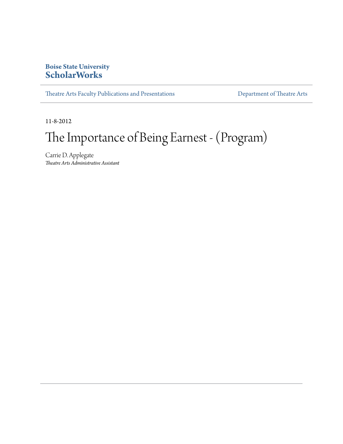### **Boise State University [ScholarWorks](http://scholarworks.boisestate.edu)**

[Theatre Arts Faculty Publications and Presentations](http://scholarworks.boisestate.edu/theatre_publications) **[Department of Theatre Arts](http://scholarworks.boisestate.edu/theatre)** 

11-8-2012

# The Importance of Being Earnest - (Program)

Carrie D. Applegate *Theatre Arts Administrative Assistant*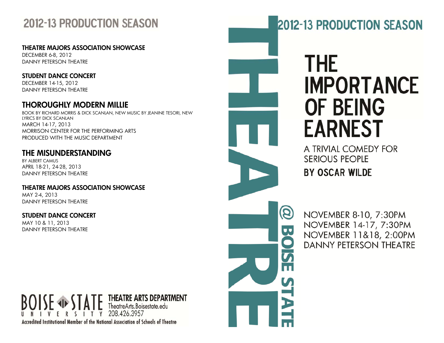## **2012-13 PRODUCTION SEASON**

**THEATRE MAJORS ASSOCIATION SHOWCASE** 

DECEMBER 6-8, 2012 DANNY PETERSON THEATRE

### **STUDENT DANCE CONCERT**

DECEMBER 14-15, 2012 DANNY PETERSON THEATRE

### **THOROUGHLY MODERN MILLIE**

BOOK BY RICHARD MORRIS & DICK SCANLAN, NEW MUSIC BY JEANINE TESORI, NEW LYRICS BY DICK SCANLAN MARCH 14-17, 2013 MORRISON CENTER FOR THE PERFORMING ARTS PRODUCED WITH THE MUSIC DEPARTMENT

### **THE MISUNDERSTANDING**

BY ALBERT CAMUS APRIL 18-21, 24-28, 2013 DANNY PETERSON THEATRE

**THEATRE MAJORS ASSOCIATION SHOWCASE** MAY 2-4, 2013 DANNY PETERSON THEATRE

**STUDENT DANCE CONCERT** MAY 10 & 11, 2013 DANNY PETERSON THEATRE

### **THEATRE ARTS DEPARTMENT** TheatreArts.Boisestate.edu I T Y 208.426.3957 Accredited Institutional Member of the National Association of Schools of Theatre

# **2012-13 PRODUCTION SEASON**

# THE **IMPORTANCE OF BEING EARNEST**

A TRIVIAL COMEDY FOR **SERIOUS PEOPLE BY OSCAR WILDE** 

NOVEMBER 8-10, 7:30PM NOVEMBER 14-17, 7:30PM NOVEMBER 11&18, 2:00PM **DANNY PETERSON THEATRE** 

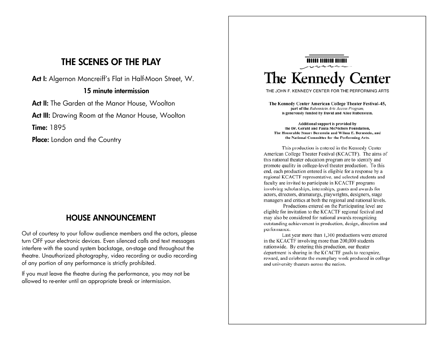### **THE SCENES OF THE PLAY**

**Act I:** Algernon Moncreiff's Flat in Half-Moon Street, W.

#### **15 minute intermission**

**Act II:** The Garden at the Manor House, Woolton

Act III: Drawing Room at the Manor House, Woolton

**Time:** 1895

**Place:** London and the Country

### **HOUSE ANNOUNCEMENT**

Out of courtesy to your follow audience members and the actors, please turn OFF your electronic devices. Even silenced calls and text messages interfere with the sound system backstage, on-stage and throughout the theatre. Unauthorized photography, video recording or audio recording of any portion of any performance is strictly prohibited.

If you must leave the theatre during the performance, you may not be allowed to re-enter until an appropriate break or intermission.

## **HIIII IIIIIII IIIIII** The Kennedy Center

THE JOHN F. KENNEDY CENTER FOR THE PERFORMING ARTS

The Kennedy Center American College Theater Festival-45, part of the Rubenstein Arts Access Program, is generously funded by David and Alice Rubenstein.

Additional support is provided by the Dr. Gerald and Paula McNichols Foundation. The Honorable Stuart Bernstein and Wilma E. Bernstein, and the National Committee for the Performing Arts.

This production is entered in the Kennedy Center American College Theater Festival (KCACTF). The aims of this national theater education program are to identify and promote quality in college-level theater production. To this end, each production entered is eligible for a response by a regional KCACTF representative, and selected students and faculty are invited to participate in KCACTF programs involving scholarships, internships, grants and awards for actors, directors, dramaturgs, playwrights, designers, stage managers and critics at both the regional and national levels.

Productions entered on the Participating level are eligible for invitation to the KCACTF regional festival and may also be considered for national awards recognizing outstanding achievement in production, design, direction and performance.

Last year more than 1,300 productions were entered in the KCACTF involving more than 200,000 students nationwide. By entering this production, our theater department is sharing in the KCACTF goals to recognize, reward, and celebrate the exemplary work produced in college and university theaters across the nation.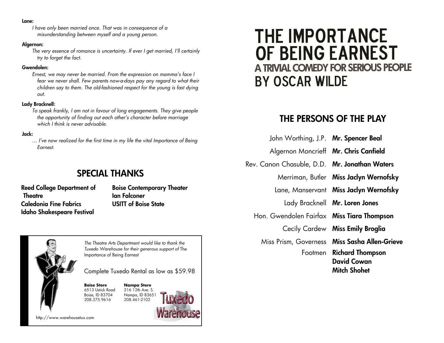#### **Lane:**

*I have only been married once. That was in consequence of a misunderstanding between myself and a young person.* 

#### **Algernon:**

*The very essence of romance is uncertainty. If ever I get married, I'll certainly try to forget the fact.* 

#### **Gwendolen:**

*Ernest, we may never be married. From the expression on mamma's face I fear we never shall. Few parents now-a-days pay any regard to what their children say to them. The old-fashioned respect for the young is fast dying out.* 

#### **Lady Bracknell:**

*To speak frankly, I am not in favour of long engagements. They give people the opportunity of finding out each other's character before marriage which I think is never advisable.*

#### **Jack:**

*… I've now realized for the first time in my life the vital Importance of Being Earnest.*

### **SPECIAL THANKS**

**Reed College Department of Theatre Caledonia Fine Fabrics Idaho Shakespeare Festival** 

**Boise Contemporary Theater Ian Falconer USITT of Boise State** 



http://www.warehousetux.com

# **THE IMPORTANCE** OF BEING EARNEST A TRIVIAL COMEDY FOR SERIOUS PEOPLE **BY OSCAR WILDE**

### **THE PERSONS OF THE PLAY**

- John Worthing, J.P. **Mr. Spencer Beal**
- Algernon Moncrieff **Mr. Chris Canfield**
- Rev. Canon Chasuble, D.D. **Mr. Jonathan Waters** 
	- Merriman, Butler **Miss Jaclyn Wernofsky**
	- Lane, Manservant **Miss Jaclyn Wernofsky** 
		- Lady Bracknell **Mr. Loren Jones**
	- Hon. Gwendolen Fairfax **Miss Tiara Thompson** 
		- Cecily Cardew **Miss Emily Broglia**

Miss Prism, Governess **Miss Sasha Allen-Grieve**  Footmen **Richard Thompson David Cowan Mitch Shohet**